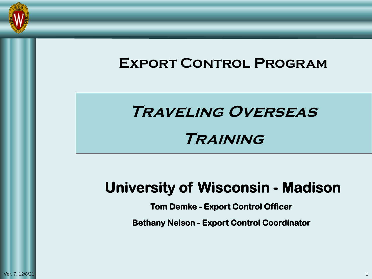

### **Export Control Program**

# **Traveling Overseas**

# **Training**

# **University of Wisconsin - Madison**

**Tom Demke - Export Control Officer**

**Bethany Nelson - Export Control Coordinator**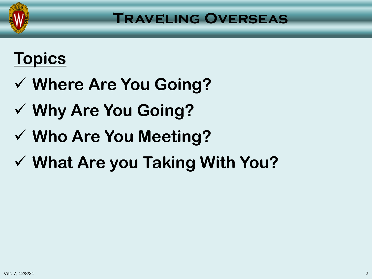

# **Topics**

- **Where Are You Going?**
- **Why Are You Going?**
- **Who Are You Meeting?**
- **What Are you Taking With You?**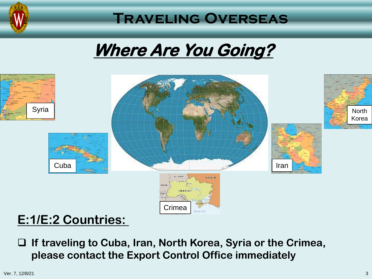

# **Where Are You Going?**



### **E:1/E:2 Countries:**

 **If traveling to Cuba, Iran, North Korea, Syria or the Crimea, please contact the Export Control Office immediately**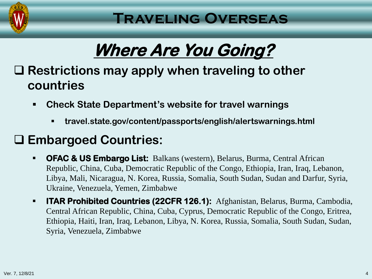

# **Where Are You Going?**

### **Restrictions may apply when traveling to other countries**

- **Check State Department's website for travel warnings**
	- **travel.state.gov/content/passports/english/alertswarnings.html**

# **Embargoed Countries:**

- **OFAC & US Embargo List:** Balkans (western), Belarus, Burma, Central African Republic, China, Cuba, Democratic Republic of the Congo, Ethiopia, Iran, Iraq, Lebanon, Libya, Mali, Nicaragua, N. Korea, Russia, Somalia, South Sudan, Sudan and Darfur, Syria, Ukraine, Venezuela, Yemen, Zimbabwe
- **ITAR Prohibited Countries (22CFR 126.1):** Afghanistan, Belarus, Burma, Cambodia, Central African Republic, China, Cuba, Cyprus, Democratic Republic of the Congo, Eritrea, Ethiopia, Haiti, Iran, Iraq, Lebanon, Libya, N. Korea, Russia, Somalia, South Sudan, Sudan, Syria, Venezuela, Zimbabwe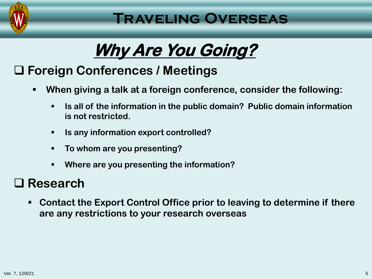

# **Why Are You Going?**

# **Foreign Conferences / Meetings**

- **When giving a talk at a foreign conference, consider the following:**
	- **Is all of the information in the public domain? Public domain information is not restricted.**
	- **Is any information export controlled?**
	- **To whom are you presenting?**
	- **Where are you presenting the information?**

### **Research**

 **Contact the Export Control Office prior to leaving to determine if there are any restrictions to your research overseas**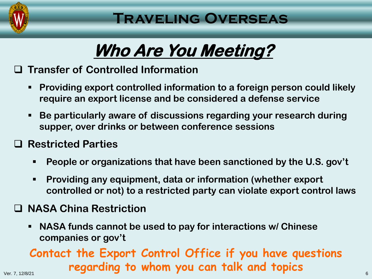

# **Who Are You Meeting?**

#### **Transfer of Controlled Information**

- **Providing export controlled information to a foreign person could likely require an export license and be considered a defense service**
- **Be particularly aware of discussions regarding your research during supper, over drinks or between conference sessions**

#### **Restricted Parties**

- **People or organizations that have been sanctioned by the U.S. gov't**
- **Providing any equipment, data or information (whether export controlled or not) to a restricted party can violate export control laws**

#### **NASA China Restriction**

 **NASA funds cannot be used to pay for interactions w/ Chinese companies or gov't**

### Ver. 7, 12/8/21 6 **regarding to whom you can talk and topicsContact the Export Control Office if you have questions**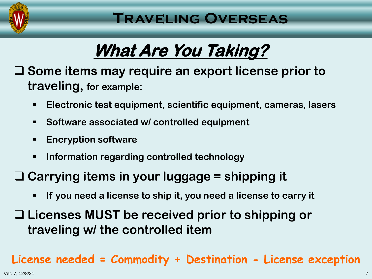

# **What Are You Taking?**

 **Some items may require an export license prior to traveling, for example:**

- **Electronic test equipment, scientific equipment, cameras, lasers**
- **Software associated w/ controlled equipment**
- **Encryption software**
- **Information regarding controlled technology**

### **Carrying items in your luggage = shipping it**

**If you need a license to ship it, you need a license to carry it** 

 **Licenses MUST be received prior to shipping or traveling w/ the controlled item**

### **License needed = Commodity + Destination - License exception**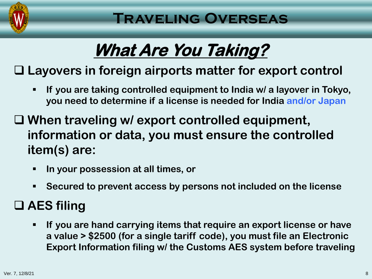

# **What Are You Taking?**

# **Layovers in foreign airports matter for export control**

- **If you are taking controlled equipment to India w/ a layover in Tokyo, you need to determine if a license is needed for India and/or Japan**
- **When traveling w/ export controlled equipment, information or data, you must ensure the controlled item(s) are:**
	- **In your possession at all times, or**
	- **Secured to prevent access by persons not included on the license**

### **AES filing**

 **If you are hand carrying items that require an export license or have a value > \$2500 (for a single tariff code), you must file an Electronic Export Information filing w/ the Customs AES system before traveling**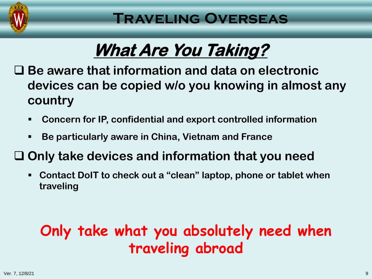

# **What Are You Taking?**

 **Be aware that information and data on electronic devices can be copied w/o you knowing in almost any country**

- **Concern for IP, confidential and export controlled information**
- **Be particularly aware in China, Vietnam and France**

### **Only take devices and information that you need**

 **Contact DoIT to check out a "clean" laptop, phone or tablet when traveling**

# **Only take what you absolutely need when traveling abroad**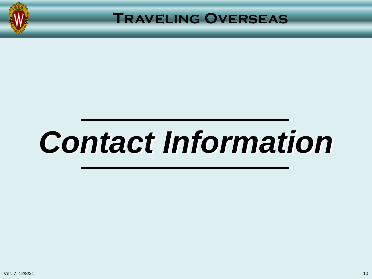

# *Contact Information*